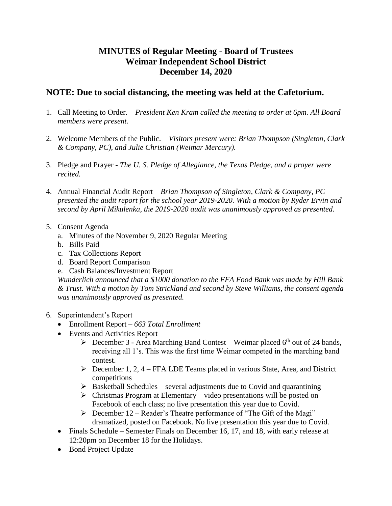## **MINUTES of Regular Meeting - Board of Trustees Weimar Independent School District December 14, 2020**

## **NOTE: Due to social distancing, the meeting was held at the Cafetorium.**

- 1. Call Meeting to Order. *President Ken Kram called the meeting to order at 6pm. All Board members were present.*
- 2. Welcome Members of the Public. *Visitors present were: Brian Thompson (Singleton, Clark & Company, PC), and Julie Christian (Weimar Mercury).*
- 3. Pledge and Prayer *The U. S. Pledge of Allegiance, the Texas Pledge, and a prayer were recited.*
- 4. Annual Financial Audit Report *Brian Thompson of Singleton, Clark & Company, PC presented the audit report for the school year 2019-2020. With a motion by Ryder Ervin and second by April Mikulenka, the 2019-2020 audit was unanimously approved as presented.*
- 5. Consent Agenda
	- a. Minutes of the November 9, 2020 Regular Meeting
	- b. Bills Paid
	- c. Tax Collections Report
	- d. Board Report Comparison
	- e. Cash Balances/Investment Report

*Wunderlich announced that a \$1000 donation to the FFA Food Bank was made by Hill Bank & Trust. With a motion by Tom Strickland and second by Steve Williams, the consent agenda was unanimously approved as presented.* 

- 6. Superintendent's Report
	- Enrollment Report *– 663 Total Enrollment*
	- Events and Activities Report
		- $\triangleright$  December 3 Area Marching Band Contest Weimar placed 6<sup>th</sup> out of 24 bands, receiving all 1's. This was the first time Weimar competed in the marching band contest.
		- $\triangleright$  December 1, 2, 4 FFA LDE Teams placed in various State, Area, and District competitions
		- $\triangleright$  Basketball Schedules several adjustments due to Covid and quarantining
		- $\triangleright$  Christmas Program at Elementary video presentations will be posted on Facebook of each class; no live presentation this year due to Covid.
		- $\triangleright$  December 12 Reader's Theatre performance of "The Gift of the Magi" dramatized, posted on Facebook. No live presentation this year due to Covid.
	- Finals Schedule Semester Finals on December 16, 17, and 18, with early release at 12:20pm on December 18 for the Holidays.
	- Bond Project Update